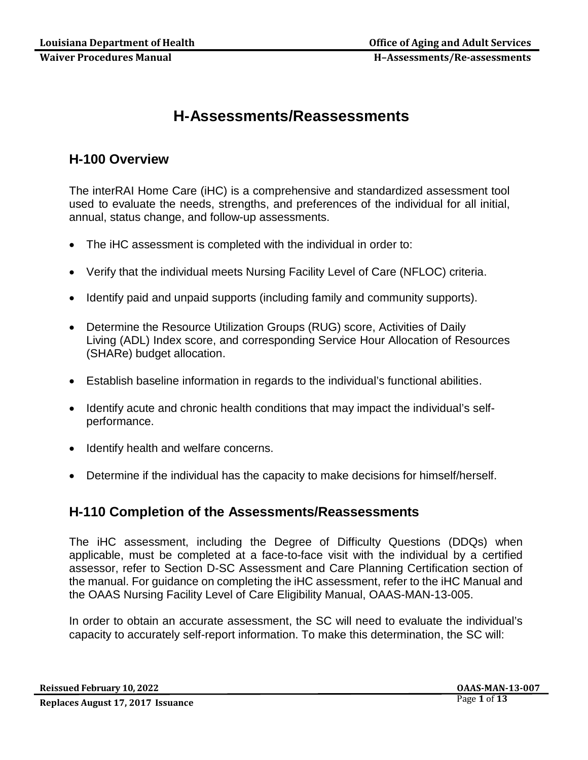# **H-Assessments/Reassessments**

## **H-100 Overview**

The interRAI Home Care (iHC) is a comprehensive and standardized assessment tool used to evaluate the needs, strengths, and preferences of the individual for all initial, annual, status change, and follow-up assessments.

- The iHC assessment is completed with the individual in order to:
- Verify that the individual meets Nursing Facility Level of Care (NFLOC) criteria.
- Identify paid and unpaid supports (including family and community supports).
- Determine the Resource Utilization Groups (RUG) score, Activities of Daily Living (ADL) Index score, and corresponding Service Hour Allocation of Resources (SHARe) budget allocation.
- Establish baseline information in regards to the individual's functional abilities.
- Identify acute and chronic health conditions that may impact the individual's selfperformance.
- Identify health and welfare concerns.
- Determine if the individual has the capacity to make decisions for himself/herself.

## **H-110 Completion of the Assessments/Reassessments**

The iHC assessment, including the Degree of Difficulty Questions (DDQs) when applicable, must be completed at a face-to-face visit with the individual by a certified assessor, refer to Section D-SC Assessment and Care Planning Certification section of the manual. For guidance on completing the iHC assessment, refer to the iHC Manual and the OAAS Nursing Facility Level of Care Eligibility Manual, OAAS-MAN-13-005.

In order to obtain an accurate assessment, the SC will need to evaluate the individual's capacity to accurately self-report information. To make this determination, the SC will: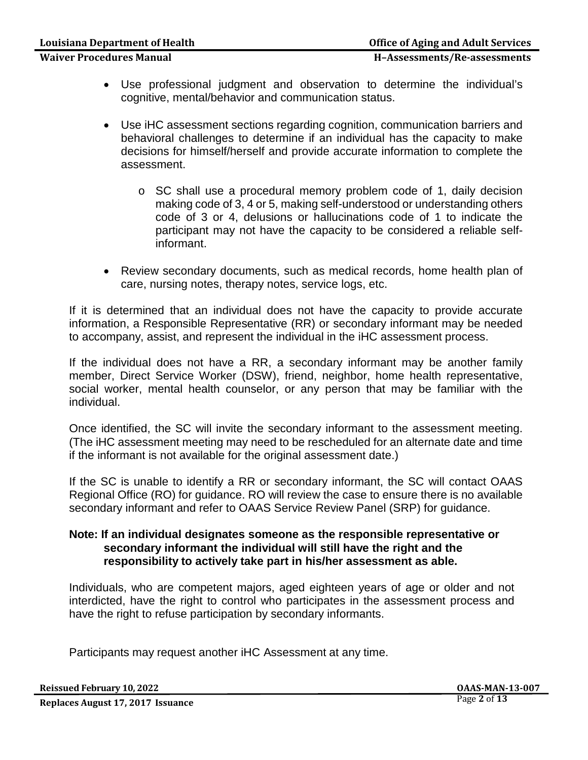- Use professional judgment and observation to determine the individual's cognitive, mental/behavior and communication status.
- Use iHC assessment sections regarding cognition, communication barriers and behavioral challenges to determine if an individual has the capacity to make decisions for himself/herself and provide accurate information to complete the assessment.
	- o SC shall use a procedural memory problem code of 1, daily decision making code of 3, 4 or 5, making self-understood or understanding others code of 3 or 4, delusions or hallucinations code of 1 to indicate the participant may not have the capacity to be considered a reliable selfinformant.
- Review secondary documents, such as medical records, home health plan of care, nursing notes, therapy notes, service logs, etc.

If it is determined that an individual does not have the capacity to provide accurate information, a Responsible Representative (RR) or secondary informant may be needed to accompany, assist, and represent the individual in the iHC assessment process.

If the individual does not have a RR, a secondary informant may be another family member, Direct Service Worker (DSW), friend, neighbor, home health representative, social worker, mental health counselor, or any person that may be familiar with the individual.

Once identified, the SC will invite the secondary informant to the assessment meeting. (The iHC assessment meeting may need to be rescheduled for an alternate date and time if the informant is not available for the original assessment date.)

If the SC is unable to identify a RR or secondary informant, the SC will contact OAAS Regional Office (RO) for guidance. RO will review the case to ensure there is no available secondary informant and refer to OAAS Service Review Panel (SRP) for guidance.

#### **Note: If an individual designates someone as the responsible representative or secondary informant the individual will still have the right and the responsibility to actively take part in his/her assessment as able.**

Individuals, who are competent majors, aged eighteen years of age or older and not interdicted, have the right to control who participates in the assessment process and have the right to refuse participation by secondary informants.

Participants may request another iHC Assessment at any time.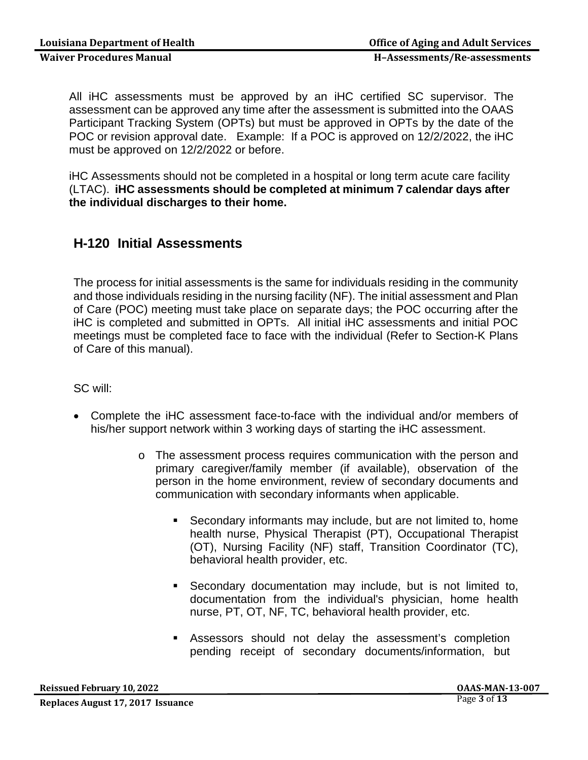All iHC assessments must be approved by an iHC certified SC supervisor. The assessment can be approved any time after the assessment is submitted into the OAAS Participant Tracking System (OPTs) but must be approved in OPTs by the date of the POC or revision approval date. Example: If a POC is approved on 12/2/2022, the iHC must be approved on 12/2/2022 or before.

iHC Assessments should not be completed in a hospital or long term acute care facility (LTAC). **iHC assessments should be completed at minimum 7 calendar days after the individual discharges to their home.**

## **H-120 Initial Assessments**

The process for initial assessments is the same for individuals residing in the community and those individuals residing in the nursing facility (NF). The initial assessment and Plan of Care (POC) meeting must take place on separate days; the POC occurring after the iHC is completed and submitted in OPTs. All initial iHC assessments and initial POC meetings must be completed face to face with the individual (Refer to Section-K Plans of Care of this manual).

SC will:

- Complete the iHC assessment face-to-face with the individual and/or members of his/her support network within 3 working days of starting the iHC assessment.
	- o The assessment process requires communication with the person and primary caregiver/family member (if available), observation of the person in the home environment, review of secondary documents and communication with secondary informants when applicable.
		- Secondary informants may include, but are not limited to, home health nurse, Physical Therapist (PT), Occupational Therapist (OT), Nursing Facility (NF) staff, Transition Coordinator (TC), behavioral health provider, etc.
		- Secondary documentation may include, but is not limited to, documentation from the individual's physician, home health nurse, PT, OT, NF, TC, behavioral health provider, etc.
		- Assessors should not delay the assessment's completion pending receipt of secondary documents/information, but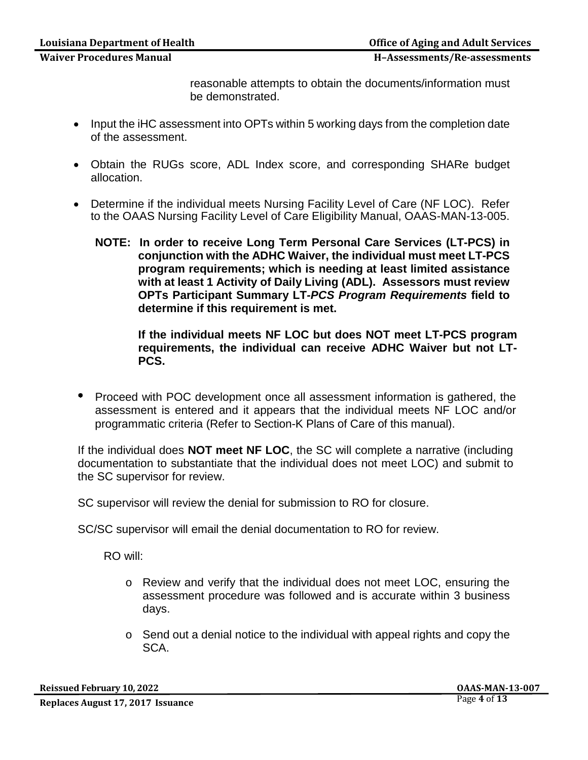Waiver Procedures Manual **Manual Executes II**-Assessments/Re-assessments

reasonable attempts to obtain the documents/information must be demonstrated.

- Input the iHC assessment into OPTs within 5 working days from the completion date of the assessment.
- Obtain the RUGs score, ADL Index score, and corresponding SHARe budget allocation.
- Determine if the individual meets Nursing Facility Level of Care (NF LOC). Refer to the OAAS Nursing Facility Level of Care Eligibility Manual, OAAS-MAN-13-005.
	- **NOTE: In order to receive Long Term Personal Care Services (LT-PCS) in conjunction with the ADHC Waiver, the individual must meet LT-PCS program requirements; which is needing at least limited assistance with at least 1 Activity of Daily Living (ADL). Assessors must review OPTs Participant Summary LT***-PCS Program Requirements* **field to determine if this requirement is met.**

**If the individual meets NF LOC but does NOT meet LT-PCS program requirements, the individual can receive ADHC Waiver but not LT-PCS.**

• Proceed with POC development once all assessment information is gathered, the assessment is entered and it appears that the individual meets NF LOC and/or programmatic criteria (Refer to Section-K Plans of Care of this manual).

If the individual does **NOT meet NF LOC**, the SC will complete a narrative (including documentation to substantiate that the individual does not meet LOC) and submit to the SC supervisor for review.

SC supervisor will review the denial for submission to RO for closure.

SC/SC supervisor will email the denial documentation to RO for review.

RO will:

- o Review and verify that the individual does not meet LOC, ensuring the assessment procedure was followed and is accurate within 3 business days.
- o Send out a denial notice to the individual with appeal rights and copy the SCA.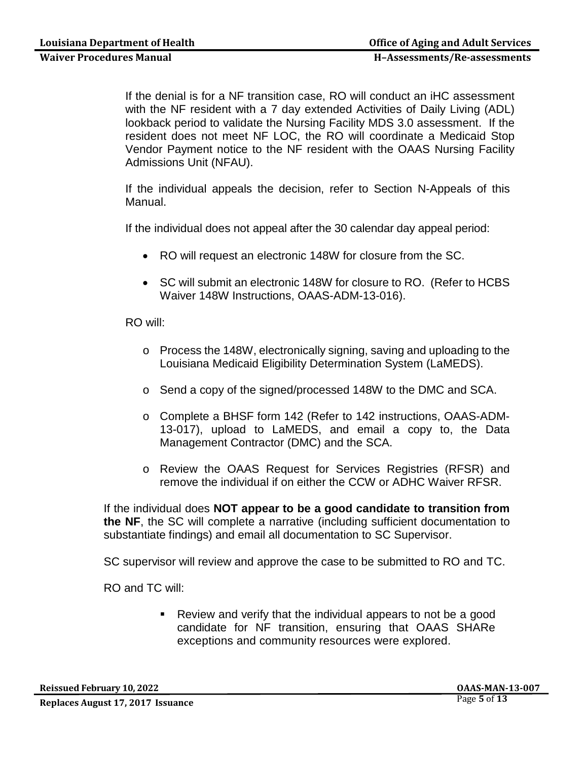If the denial is for a NF transition case, RO will conduct an iHC assessment with the NF resident with a 7 day extended Activities of Daily Living (ADL) lookback period to validate the Nursing Facility MDS 3.0 assessment. If the resident does not meet NF LOC, the RO will coordinate a Medicaid Stop Vendor Payment notice to the NF resident with the OAAS Nursing Facility Admissions Unit (NFAU).

If the individual appeals the decision, refer to Section N-Appeals of this Manual.

If the individual does not appeal after the 30 calendar day appeal period:

- RO will request an electronic 148W for closure from the SC.
- SC will submit an electronic 148W for closure to RO. (Refer to HCBS Waiver 148W Instructions, OAAS-ADM-13-016).

RO will:

- o Process the 148W, electronically signing, saving and uploading to the Louisiana Medicaid Eligibility Determination System (LaMEDS).
- o Send a copy of the signed/processed 148W to the DMC and SCA.
- o Complete a BHSF form 142 (Refer to 142 instructions, OAAS-ADM-13-017), upload to LaMEDS, and email a copy to, the Data Management Contractor (DMC) and the SCA.
- o Review the OAAS Request for Services Registries (RFSR) and remove the individual if on either the CCW or ADHC Waiver RFSR.

If the individual does **NOT appear to be a good candidate to transition from the NF**, the SC will complete a narrative (including sufficient documentation to substantiate findings) and email all documentation to SC Supervisor.

SC supervisor will review and approve the case to be submitted to RO and TC.

RO and TC will:

 Review and verify that the individual appears to not be a good candidate for NF transition, ensuring that OAAS SHARe exceptions and community resources were explored.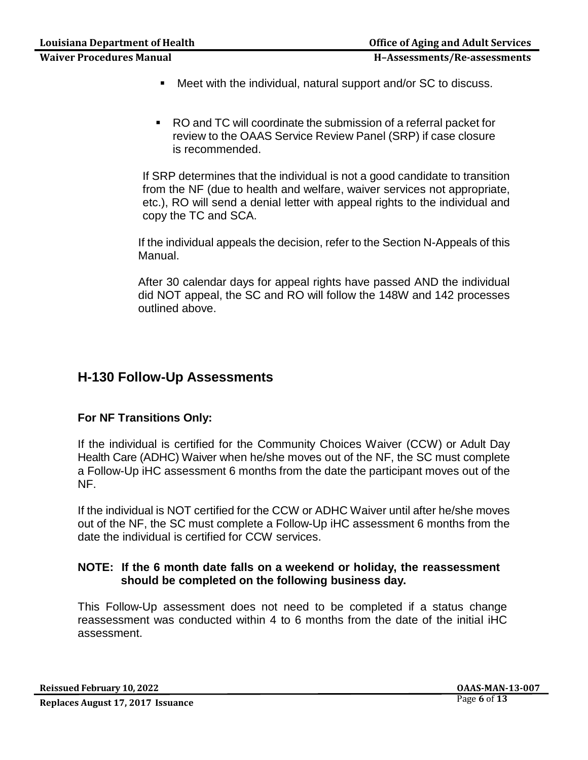- Meet with the individual, natural support and/or SC to discuss.
- RO and TC will coordinate the submission of a referral packet for review to the OAAS Service Review Panel (SRP) if case closure is recommended.

If SRP determines that the individual is not a good candidate to transition from the NF (due to health and welfare, waiver services not appropriate, etc.), RO will send a denial letter with appeal rights to the individual and copy the TC and SCA.

If the individual appeals the decision, refer to the Section N-Appeals of this Manual.

After 30 calendar days for appeal rights have passed AND the individual did NOT appeal, the SC and RO will follow the 148W and 142 processes outlined above.

## **H-130 Follow-Up Assessments**

### **For NF Transitions Only:**

If the individual is certified for the Community Choices Waiver (CCW) or Adult Day Health Care (ADHC) Waiver when he/she moves out of the NF, the SC must complete a Follow-Up iHC assessment 6 months from the date the participant moves out of the NF.

If the individual is NOT certified for the CCW or ADHC Waiver until after he/she moves out of the NF, the SC must complete a Follow-Up iHC assessment 6 months from the date the individual is certified for CCW services.

#### **NOTE: If the 6 month date falls on a weekend or holiday, the reassessment should be completed on the following business day.**

This Follow-Up assessment does not need to be completed if a status change reassessment was conducted within 4 to 6 months from the date of the initial iHC assessment.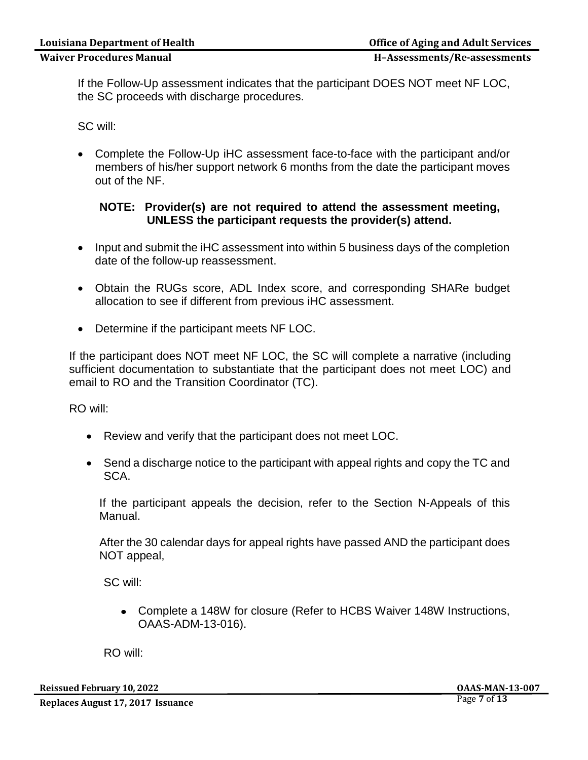If the Follow-Up assessment indicates that the participant DOES NOT meet NF LOC, the SC proceeds with discharge procedures.

SC will:

• Complete the Follow-Up iHC assessment face-to-face with the participant and/or members of his/her support network 6 months from the date the participant moves out of the NF.

#### **NOTE: Provider(s) are not required to attend the assessment meeting, UNLESS the participant requests the provider(s) attend.**

- Input and submit the iHC assessment into within 5 business days of the completion date of the follow-up reassessment.
- Obtain the RUGs score, ADL Index score, and corresponding SHARe budget allocation to see if different from previous iHC assessment.
- Determine if the participant meets NF LOC.

If the participant does NOT meet NF LOC, the SC will complete a narrative (including sufficient documentation to substantiate that the participant does not meet LOC) and email to RO and the Transition Coordinator (TC).

RO will:

- Review and verify that the participant does not meet LOC.
- Send a discharge notice to the participant with appeal rights and copy the TC and SCA.

If the participant appeals the decision, refer to the Section N-Appeals of this Manual.

After the 30 calendar days for appeal rights have passed AND the participant does NOT appeal,

SC will:

Complete a 148W for closure (Refer to HCBS Waiver 148W Instructions, OAAS-ADM-13-016).

RO will: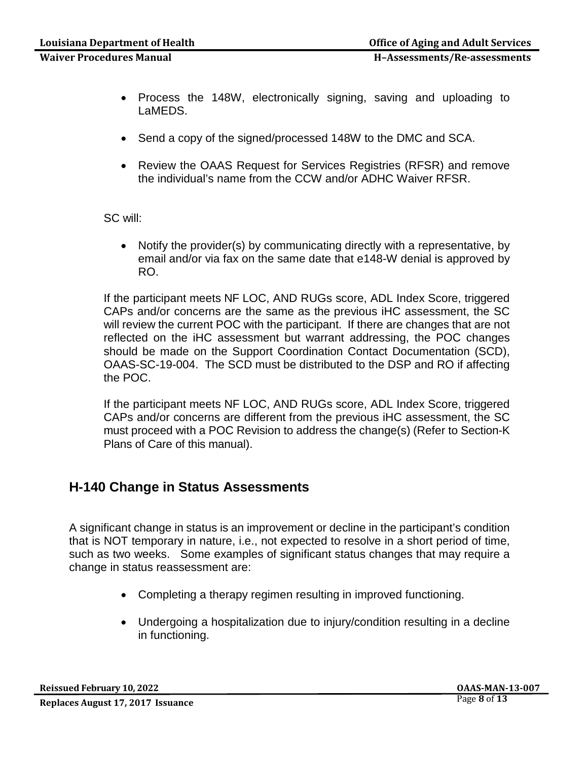- Process the 148W, electronically signing, saving and uploading to LaMEDS.
- Send a copy of the signed/processed 148W to the DMC and SCA.
- Review the OAAS Request for Services Registries (RFSR) and remove the individual's name from the CCW and/or ADHC Waiver RFSR.

SC will:

• Notify the provider(s) by communicating directly with a representative, by email and/or via fax on the same date that e148-W denial is approved by RO.

If the participant meets NF LOC, AND RUGs score, ADL Index Score, triggered CAPs and/or concerns are the same as the previous iHC assessment, the SC will review the current POC with the participant. If there are changes that are not reflected on the iHC assessment but warrant addressing, the POC changes should be made on the Support Coordination Contact Documentation (SCD), OAAS-SC-19-004. The SCD must be distributed to the DSP and RO if affecting the POC.

If the participant meets NF LOC, AND RUGs score, ADL Index Score, triggered CAPs and/or concerns are different from the previous iHC assessment, the SC must proceed with a POC Revision to address the change(s) (Refer to Section-K Plans of Care of this manual).

## **H-140 Change in Status Assessments**

A significant change in status is an improvement or decline in the participant's condition that is NOT temporary in nature, i.e., not expected to resolve in a short period of time, such as two weeks. Some examples of significant status changes that may require a change in status reassessment are:

- Completing a therapy regimen resulting in improved functioning.
- Undergoing a hospitalization due to injury/condition resulting in a decline in functioning.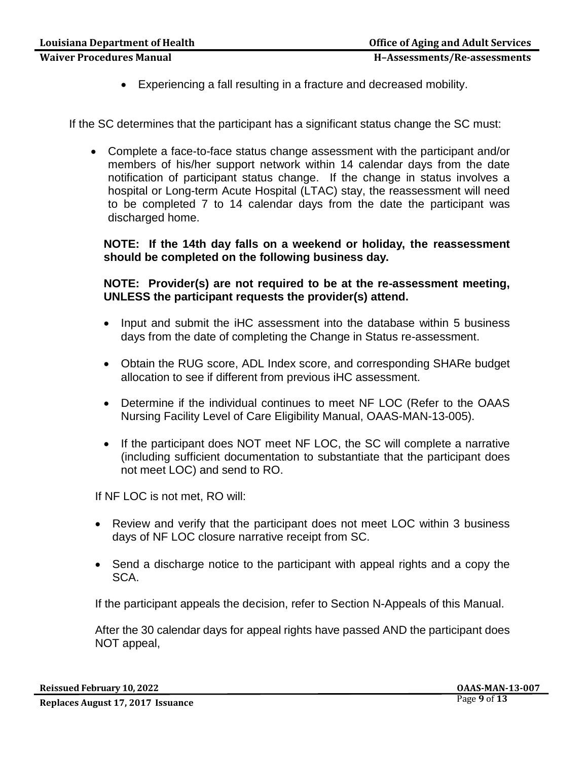**Waiver Procedures Manual H–Assessments/Re-assessments**

If the SC determines that the participant has a significant status change the SC must:

• Complete a face-to-face status change assessment with the participant and/or members of his/her support network within 14 calendar days from the date notification of participant status change. If the change in status involves a hospital or Long-term Acute Hospital (LTAC) stay, the reassessment will need to be completed 7 to 14 calendar days from the date the participant was discharged home.

**NOTE: If the 14th day falls on a weekend or holiday, the reassessment should be completed on the following business day.**

**NOTE: Provider(s) are not required to be at the re-assessment meeting, UNLESS the participant requests the provider(s) attend.**

- Input and submit the iHC assessment into the database within 5 business days from the date of completing the Change in Status re-assessment.
- Obtain the RUG score, ADL Index score, and corresponding SHARe budget allocation to see if different from previous iHC assessment.
- Determine if the individual continues to meet NF LOC (Refer to the OAAS Nursing Facility Level of Care Eligibility Manual, OAAS-MAN-13-005).
- If the participant does NOT meet NF LOC, the SC will complete a narrative (including sufficient documentation to substantiate that the participant does not meet LOC) and send to RO.

If NF LOC is not met, RO will:

- Review and verify that the participant does not meet LOC within 3 business days of NF LOC closure narrative receipt from SC.
- Send a discharge notice to the participant with appeal rights and a copy the SCA.

If the participant appeals the decision, refer to Section N-Appeals of this Manual.

After the 30 calendar days for appeal rights have passed AND the participant does NOT appeal,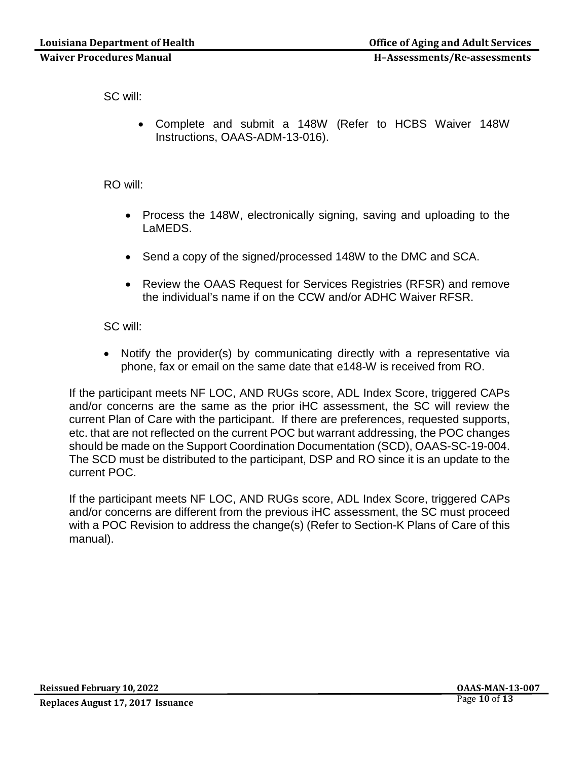SC will:

• Complete and submit a 148W (Refer to HCBS Waiver 148W Instructions, OAAS-ADM-13-016).

RO will:

- Process the 148W, electronically signing, saving and uploading to the LaMEDS.
- Send a copy of the signed/processed 148W to the DMC and SCA.
- Review the OAAS Request for Services Registries (RFSR) and remove the individual's name if on the CCW and/or ADHC Waiver RFSR.

SC will:

• Notify the provider(s) by communicating directly with a representative via phone, fax or email on the same date that e148-W is received from RO.

If the participant meets NF LOC, AND RUGs score, ADL Index Score, triggered CAPs and/or concerns are the same as the prior iHC assessment, the SC will review the current Plan of Care with the participant. If there are preferences, requested supports, etc. that are not reflected on the current POC but warrant addressing, the POC changes should be made on the Support Coordination Documentation (SCD), OAAS-SC-19-004. The SCD must be distributed to the participant, DSP and RO since it is an update to the current POC.

If the participant meets NF LOC, AND RUGs score, ADL Index Score, triggered CAPs and/or concerns are different from the previous iHC assessment, the SC must proceed with a POC Revision to address the change(s) (Refer to Section-K Plans of Care of this manual).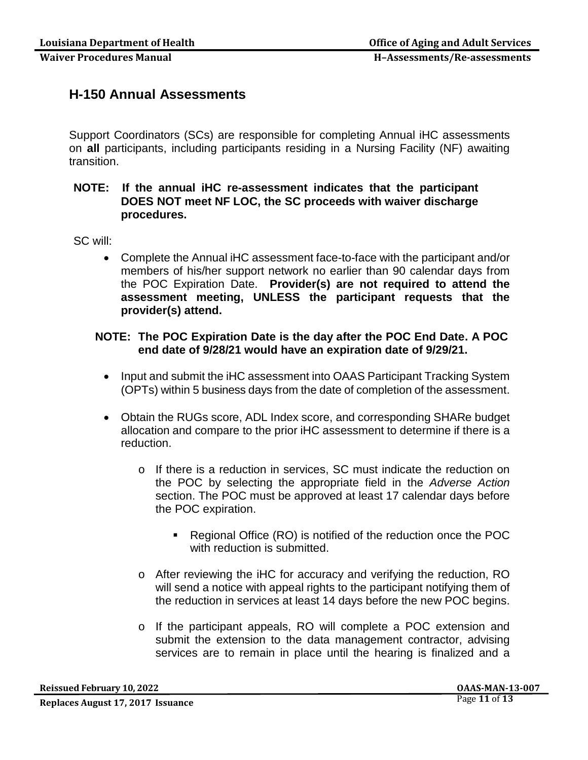## **H-150 Annual Assessments**

Support Coordinators (SCs) are responsible for completing Annual iHC assessments on **all** participants, including participants residing in a Nursing Facility (NF) awaiting transition.

### **NOTE: If the annual iHC re-assessment indicates that the participant DOES NOT meet NF LOC, the SC proceeds with waiver discharge procedures.**

SC will:

• Complete the Annual iHC assessment face-to-face with the participant and/or members of his/her support network no earlier than 90 calendar days from the POC Expiration Date. **Provider(s) are not required to attend the assessment meeting, UNLESS the participant requests that the provider(s) attend.**

### **NOTE: The POC Expiration Date is the day after the POC End Date. A POC end date of 9/28/21 would have an expiration date of 9/29/21.**

- Input and submit the iHC assessment into OAAS Participant Tracking System (OPTs) within 5 business days from the date of completion of the assessment.
- Obtain the RUGs score, ADL Index score, and corresponding SHARe budget allocation and compare to the prior iHC assessment to determine if there is a reduction.
	- o If there is a reduction in services, SC must indicate the reduction on the POC by selecting the appropriate field in the *Adverse Action* section. The POC must be approved at least 17 calendar days before the POC expiration.
		- Regional Office (RO) is notified of the reduction once the POC with reduction is submitted.
	- o After reviewing the iHC for accuracy and verifying the reduction, RO will send a notice with appeal rights to the participant notifying them of the reduction in services at least 14 days before the new POC begins.
	- o If the participant appeals, RO will complete a POC extension and submit the extension to the data management contractor, advising services are to remain in place until the hearing is finalized and a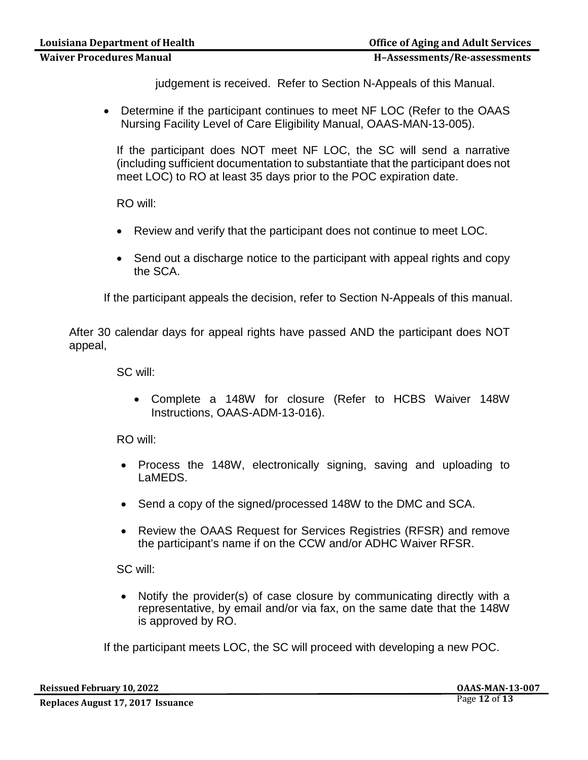judgement is received. Refer to Section N-Appeals of this Manual.

• Determine if the participant continues to meet NF LOC (Refer to the OAAS Nursing Facility Level of Care Eligibility Manual, OAAS-MAN-13-005).

If the participant does NOT meet NF LOC, the SC will send a narrative (including sufficient documentation to substantiate that the participant does not meet LOC) to RO at least 35 days prior to the POC expiration date.

RO will:

- Review and verify that the participant does not continue to meet LOC.
- Send out a discharge notice to the participant with appeal rights and copy the SCA.

If the participant appeals the decision, refer to Section N-Appeals of this manual.

After 30 calendar days for appeal rights have passed AND the participant does NOT appeal,

SC will:

• Complete a 148W for closure (Refer to HCBS Waiver 148W Instructions, OAAS-ADM-13-016).

RO will:

- Process the 148W, electronically signing, saving and uploading to LaMEDS.
- Send a copy of the signed/processed 148W to the DMC and SCA.
- Review the OAAS Request for Services Registries (RFSR) and remove the participant's name if on the CCW and/or ADHC Waiver RFSR.

SC will:

• Notify the provider(s) of case closure by communicating directly with a representative, by email and/or via fax, on the same date that the 148W is approved by RO.

If the participant meets LOC, the SC will proceed with developing a new POC.